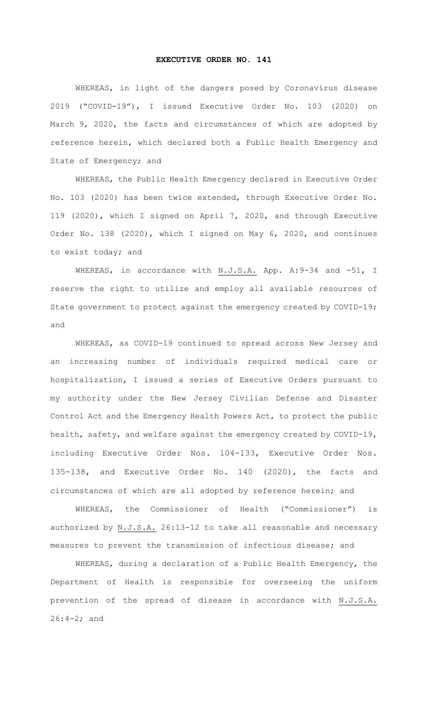## **EXECUTIVE ORDER NO. 141**

WHEREAS, in light of the dangers posed by Coronavirus disease 2019 ("COVID-19"), I issued Executive Order No. 103 (2020) on March 9, 2020, the facts and circumstances of which are adopted by reference herein, which declared both a Public Health Emergency and State of Emergency; and

WHEREAS, the Public Health Emergency declared in Executive Order No. 103 (2020) has been twice extended, through Executive Order No. 119 (2020), which I signed on April 7, 2020, and through Executive Order No. 138 (2020), which I signed on May 6, 2020, and continues to exist today; and

WHEREAS, in accordance with N.J.S.A. App. A:9-34 and -51, I reserve the right to utilize and employ all available resources of State government to protect against the emergency created by COVID-19; and

WHEREAS, as COVID-19 continued to spread across New Jersey and an increasing number of individuals required medical care or hospitalization, I issued a series of Executive Orders pursuant to my authority under the New Jersey Civilian Defense and Disaster Control Act and the Emergency Health Powers Act, to protect the public health, safety, and welfare against the emergency created by COVID-19, including Executive Order Nos. 104-133, Executive Order Nos. 135-138, and Executive Order No. 140 (2020), the facts and circumstances of which are all adopted by reference herein; and

WHEREAS, the Commissioner of Health ("Commissioner") is authorized by N.J.S.A. 26:13-12 to take all reasonable and necessary measures to prevent the transmission of infectious disease; and

WHEREAS, during a declaration of a Public Health Emergency, the Department of Health is responsible for overseeing the uniform prevention of the spread of disease in accordance with N.J.S.A. 26:4-2; and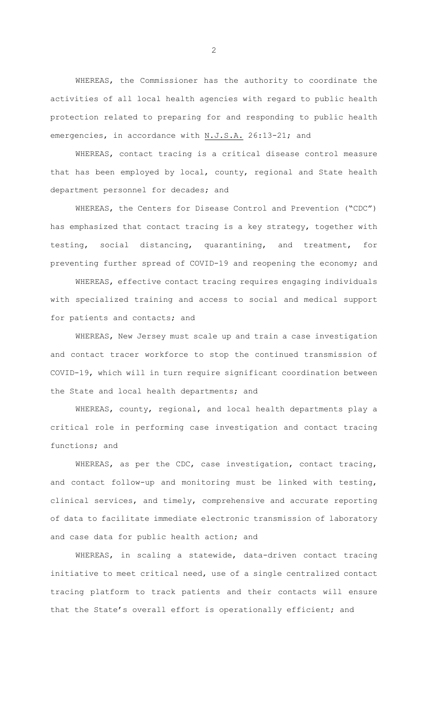WHEREAS, the Commissioner has the authority to coordinate the activities of all local health agencies with regard to public health protection related to preparing for and responding to public health emergencies, in accordance with N.J.S.A. 26:13-21; and

WHEREAS, contact tracing is a critical disease control measure that has been employed by local, county, regional and State health department personnel for decades; and

WHEREAS, the Centers for Disease Control and Prevention ("CDC") has emphasized that contact tracing is a key strategy, together with testing, social distancing, quarantining, and treatment, for preventing further spread of COVID-19 and reopening the economy; and

WHEREAS, effective contact tracing requires engaging individuals with specialized training and access to social and medical support for patients and contacts; and

WHEREAS, New Jersey must scale up and train a case investigation and contact tracer workforce to stop the continued transmission of COVID-19, which will in turn require significant coordination between the State and local health departments; and

WHEREAS, county, regional, and local health departments play a critical role in performing case investigation and contact tracing functions; and

WHEREAS, as per the CDC, case investigation, contact tracing, and contact follow-up and monitoring must be linked with testing, clinical services, and timely, comprehensive and accurate reporting of data to facilitate immediate electronic transmission of laboratory and case data for public health action; and

WHEREAS, in scaling a statewide, data-driven contact tracing initiative to meet critical need, use of a single centralized contact tracing platform to track patients and their contacts will ensure that the State's overall effort is operationally efficient; and

2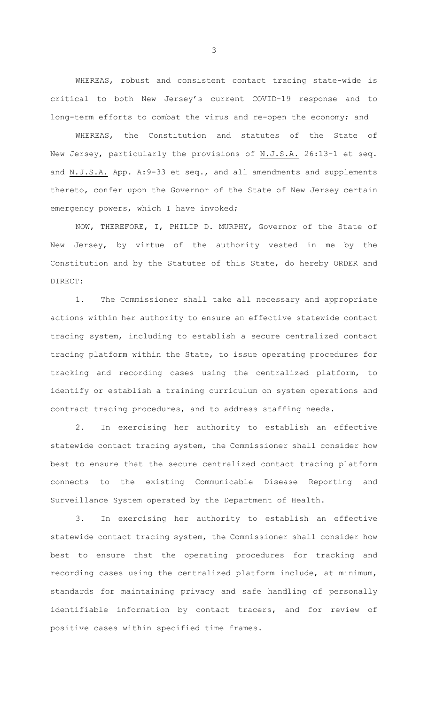WHEREAS, robust and consistent contact tracing state-wide is critical to both New Jersey's current COVID-19 response and to long-term efforts to combat the virus and re-open the economy; and

WHEREAS, the Constitution and statutes of the State of New Jersey, particularly the provisions of N.J.S.A. 26:13-1 et seq. and N.J.S.A. App. A:9-33 et seq., and all amendments and supplements thereto, confer upon the Governor of the State of New Jersey certain emergency powers, which I have invoked;

NOW, THEREFORE, I, PHILIP D. MURPHY, Governor of the State of New Jersey, by virtue of the authority vested in me by the Constitution and by the Statutes of this State, do hereby ORDER and DIRECT:

1. The Commissioner shall take all necessary and appropriate actions within her authority to ensure an effective statewide contact tracing system, including to establish a secure centralized contact tracing platform within the State, to issue operating procedures for tracking and recording cases using the centralized platform, to identify or establish a training curriculum on system operations and contract tracing procedures, and to address staffing needs.

2. In exercising her authority to establish an effective statewide contact tracing system, the Commissioner shall consider how best to ensure that the secure centralized contact tracing platform connects to the existing Communicable Disease Reporting and Surveillance System operated by the Department of Health.

3. In exercising her authority to establish an effective statewide contact tracing system, the Commissioner shall consider how best to ensure that the operating procedures for tracking and recording cases using the centralized platform include, at minimum, standards for maintaining privacy and safe handling of personally identifiable information by contact tracers, and for review of positive cases within specified time frames.

3